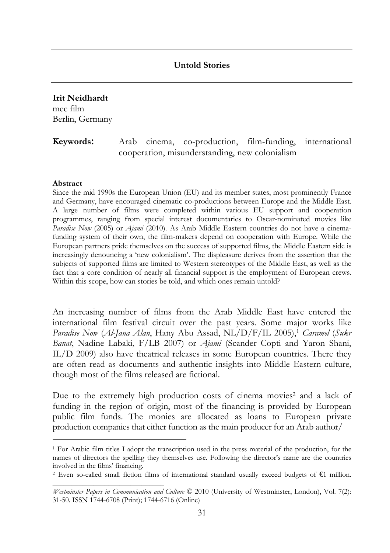### **Untold Stories**

# **Irit Neidhardt** mec film

Berlin, Germany

## **Keywords:** Arab cinema, co-production, film-funding, international cooperation, misunderstanding, new colonialism

#### **Abstract**

 $\overline{a}$ 

*\_\_\_\_\_\_\_\_\_\_\_\_\_\_\_\_\_\_\_\_\_\_\_\_\_\_\_\_\_\_* 

Since the mid 1990s the European Union (EU) and its member states, most prominently France and Germany, have encouraged cinematic co-productions between Europe and the Middle East. A large number of films were completed within various EU support and cooperation programmes, ranging from special interest documentaries to Oscar-nominated movies like *Paradise Now* (2005) or *Ajami* (2010). As Arab Middle Eastern countries do not have a cinemafunding system of their own, the film-makers depend on cooperation with Europe. While the European partners pride themselves on the success of supported films, the Middle Eastern side is increasingly denouncing a 'new colonialism'. The displeasure derives from the assertion that the subjects of supported films are limited to Western stereotypes of the Middle East, as well as the fact that a core condition of nearly all financial support is the employment of European crews. Within this scope, how can stories be told, and which ones remain untold?

An increasing number of films from the Arab Middle East have entered the international film festival circuit over the past years. Some major works like *Paradise Now (Al-Jana Alan*, Hany Abu Assad, NL/D/F/IL 2005),<sup>1</sup> *Caramel (Sukr Banat*, Nadine Labaki, F/LB 2007) or *Ajami* (Scander Copti and Yaron Shani, IL/D 2009) also have theatrical releases in some European countries. There they are often read as documents and authentic insights into Middle Eastern culture, though most of the films released are fictional.

Due to the extremely high production costs of cinema movies<sup>2</sup> and a lack of funding in the region of origin, most of the financing is provided by European public film funds. The monies are allocated as loans to European private production companies that either function as the main producer for an Arab author/

<sup>1</sup> For Arabic film titles I adopt the transcription used in the press material of the production, for the names of directors the spelling they themselves use. Following the director's name are the countries involved in the films' financing.

<sup>2</sup> Even so-called small fiction films of international standard usually exceed budgets of €1 million.

*Westminster Papers in Communication and Culture* © 2010 (University of Westminster, London), Vol. 7(2): 31-50. ISSN 1744-6708 (Print); 1744-6716 (Online)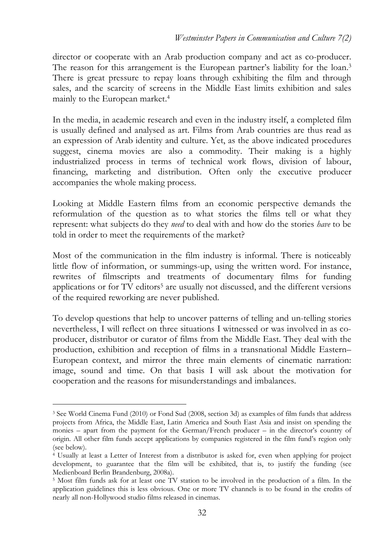director or cooperate with an Arab production company and act as co-producer. The reason for this arrangement is the European partner's liability for the loan.<sup>3</sup> There is great pressure to repay loans through exhibiting the film and through sales, and the scarcity of screens in the Middle East limits exhibition and sales mainly to the European market.<sup>4</sup>

In the media, in academic research and even in the industry itself, a completed film is usually defined and analysed as art. Films from Arab countries are thus read as an expression of Arab identity and culture. Yet, as the above indicated procedures suggest, cinema movies are also a commodity. Their making is a highly industrialized process in terms of technical work flows, division of labour, financing, marketing and distribution. Often only the executive producer accompanies the whole making process.

Looking at Middle Eastern films from an economic perspective demands the reformulation of the question as to what stories the films tell or what they represent: what subjects do they *need* to deal with and how do the stories *have* to be told in order to meet the requirements of the market?

Most of the communication in the film industry is informal. There is noticeably little flow of information, or summings-up, using the written word. For instance, rewrites of filmscripts and treatments of documentary films for funding applications or for TV editors<sup>5</sup> are usually not discussed, and the different versions of the required reworking are never published.

To develop questions that help to uncover patterns of telling and un-telling stories nevertheless, I will reflect on three situations I witnessed or was involved in as coproducer, distributor or curator of films from the Middle East. They deal with the production, exhibition and reception of films in a transnational Middle Eastern– European context, and mirror the three main elements of cinematic narration: image, sound and time. On that basis I will ask about the motivation for cooperation and the reasons for misunderstandings and imbalances.

 $\overline{a}$ 

<sup>3</sup> See World Cinema Fund (2010) or Fond Sud (2008, section 3d) as examples of film funds that address projects from Africa, the Middle East, Latin America and South East Asia and insist on spending the monies – apart from the payment for the German/French producer – in the director's country of origin. All other film funds accept applications by companies registered in the film fund's region only (see below).

<sup>4</sup> Usually at least a Letter of Interest from a distributor is asked for, even when applying for project development, to guarantee that the film will be exhibited, that is, to justify the funding (see Medienboard Berlin Brandenburg, 2008a).

<sup>5</sup> Most film funds ask for at least one TV station to be involved in the production of a film. In the application guidelines this is less obvious. One or more TV channels is to be found in the credits of nearly all non-Hollywood studio films released in cinemas.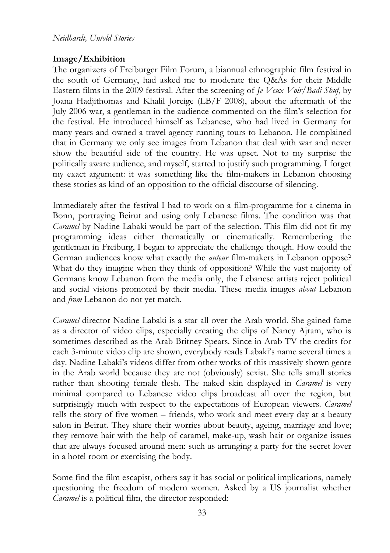# **Image/Exhibition**

The organizers of Freiburger Film Forum, a biannual ethnographic film festival in the south of Germany, had asked me to moderate the Q&As for their Middle Eastern films in the 2009 festival. After the screening of *Je Veux Voir*/*Badi Shuf*, by Joana Hadjithomas and Khalil Joreige (LB/F 2008), about the aftermath of the July 2006 war, a gentleman in the audience commented on the film's selection for the festival. He introduced himself as Lebanese, who had lived in Germany for many years and owned a travel agency running tours to Lebanon. He complained that in Germany we only see images from Lebanon that deal with war and never show the beautiful side of the country. He was upset. Not to my surprise the politically aware audience, and myself, started to justify such programming. I forget my exact argument: it was something like the film-makers in Lebanon choosing these stories as kind of an opposition to the official discourse of silencing.

Immediately after the festival I had to work on a film-programme for a cinema in Bonn, portraying Beirut and using only Lebanese films. The condition was that *Caramel* by Nadine Labaki would be part of the selection. This film did not fit my programming ideas either thematically or cinematically. Remembering the gentleman in Freiburg, I began to appreciate the challenge though. How could the German audiences know what exactly the *auteur* film-makers in Lebanon oppose? What do they imagine when they think of opposition? While the vast majority of Germans know Lebanon from the media only, the Lebanese artists reject political and social visions promoted by their media. These media images *about* Lebanon and *from* Lebanon do not yet match.

*Caramel* director Nadine Labaki is a star all over the Arab world. She gained fame as a director of video clips, especially creating the clips of Nancy Ajram, who is sometimes described as the Arab Britney Spears. Since in Arab TV the credits for each 3-minute video clip are shown, everybody reads Labaki's name several times a day. Nadine Labaki's videos differ from other works of this massively shown genre in the Arab world because they are not (obviously) sexist. She tells small stories rather than shooting female flesh. The naked skin displayed in *Caramel* is very minimal compared to Lebanese video clips broadcast all over the region, but surprisingly much with respect to the expectations of European viewers. *Caramel* tells the story of five women – friends, who work and meet every day at a beauty salon in Beirut. They share their worries about beauty, ageing, marriage and love; they remove hair with the help of caramel, make-up, wash hair or organize issues that are always focused around men: such as arranging a party for the secret lover in a hotel room or exercising the body.

Some find the film escapist, others say it has social or political implications, namely questioning the freedom of modern women. Asked by a US journalist whether *Caramel* is a political film, the director responded: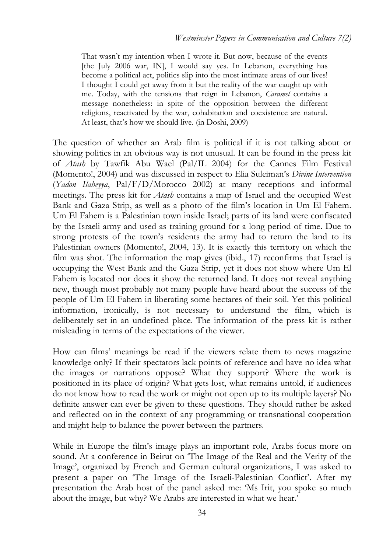That wasn't my intention when I wrote it. But now, because of the events [the July 2006 war, IN], I would say yes. In Lebanon, everything has become a political act, politics slip into the most intimate areas of our lives! I thought I could get away from it but the reality of the war caught up with me. Today, with the tensions that reign in Lebanon, *Caramel* contains a message nonetheless: in spite of the opposition between the different religions, reactivated by the war, cohabitation and coexistence are natural. At least, that's how we should live. (in Doshi, 2009)

The question of whether an Arab film is political if it is not talking about or showing politics in an obvious way is not unusual. It can be found in the press kit of *Atash* by Tawfik Abu Wael (Pal/IL 2004) for the Cannes Film Festival (Momento!, 2004) and was discussed in respect to Elia Suleiman's *Divine Intervention*  (*Yadon Ilaheyya*, Pal/F/D/Morocco 2002) at many receptions and informal meetings. The press kit for *Atash* contains a map of Israel and the occupied West Bank and Gaza Strip, as well as a photo of the film's location in Um El Fahem. Um El Fahem is a Palestinian town inside Israel; parts of its land were confiscated by the Israeli army and used as training ground for a long period of time. Due to strong protests of the town's residents the army had to return the land to its Palestinian owners (Momento!, 2004, 13). It is exactly this territory on which the film was shot. The information the map gives (ibid., 17) reconfirms that Israel is occupying the West Bank and the Gaza Strip, yet it does not show where Um El Fahem is located nor does it show the returned land. It does not reveal anything new, though most probably not many people have heard about the success of the people of Um El Fahem in liberating some hectares of their soil. Yet this political information, ironically, is not necessary to understand the film, which is deliberately set in an undefined place. The information of the press kit is rather misleading in terms of the expectations of the viewer.

How can films' meanings be read if the viewers relate them to news magazine knowledge only? If their spectators lack points of reference and have no idea what the images or narrations oppose? What they support? Where the work is positioned in its place of origin? What gets lost, what remains untold, if audiences do not know how to read the work or might not open up to its multiple layers? No definite answer can ever be given to these questions. They should rather be asked and reflected on in the context of any programming or transnational cooperation and might help to balance the power between the partners.

While in Europe the film's image plays an important role, Arabs focus more on sound. At a conference in Beirut on 'The Image of the Real and the Verity of the Image', organized by French and German cultural organizations, I was asked to present a paper on 'The Image of the Israeli-Palestinian Conflict'. After my presentation the Arab host of the panel asked me: 'Ms Irit, you spoke so much about the image, but why? We Arabs are interested in what we hear.'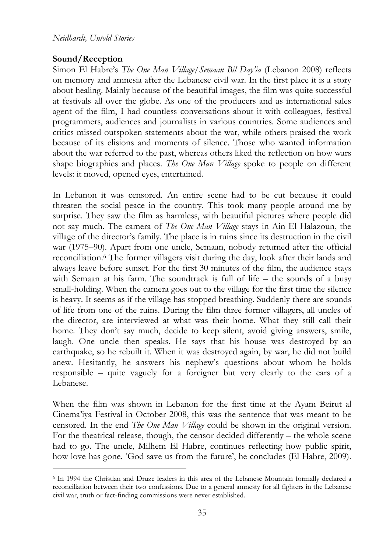### **Sound/Reception**

 $\overline{a}$ 

Simon El Habre's *The One Man Village/Semaan Bil Day'ia* (Lebanon 2008) reflects on memory and amnesia after the Lebanese civil war. In the first place it is a story about healing. Mainly because of the beautiful images, the film was quite successful at festivals all over the globe. As one of the producers and as international sales agent of the film, I had countless conversations about it with colleagues, festival programmers, audiences and journalists in various countries. Some audiences and critics missed outspoken statements about the war, while others praised the work because of its elisions and moments of silence. Those who wanted information about the war referred to the past, whereas others liked the reflection on how wars shape biographies and places. *The One Man Village* spoke to people on different levels: it moved, opened eyes, entertained.

In Lebanon it was censored. An entire scene had to be cut because it could threaten the social peace in the country. This took many people around me by surprise. They saw the film as harmless, with beautiful pictures where people did not say much. The camera of *The One Man Village* stays in Ain El Halazoun, the village of the director's family. The place is in ruins since its destruction in the civil war (1975–90). Apart from one uncle, Semaan, nobody returned after the official reconciliation.<sup>6</sup> The former villagers visit during the day, look after their lands and always leave before sunset. For the first 30 minutes of the film, the audience stays with Semaan at his farm. The soundtrack is full of life – the sounds of a busy small-holding. When the camera goes out to the village for the first time the silence is heavy. It seems as if the village has stopped breathing. Suddenly there are sounds of life from one of the ruins. During the film three former villagers, all uncles of the director, are interviewed at what was their home. What they still call their home. They don't say much, decide to keep silent, avoid giving answers, smile, laugh. One uncle then speaks. He says that his house was destroyed by an earthquake, so he rebuilt it. When it was destroyed again, by war, he did not build anew. Hesitantly, he answers his nephew's questions about whom he holds responsible – quite vaguely for a foreigner but very clearly to the ears of a Lebanese.

When the film was shown in Lebanon for the first time at the Ayam Beirut al Cinema'iya Festival in October 2008, this was the sentence that was meant to be censored. In the end *The One Man Village* could be shown in the original version. For the theatrical release, though, the censor decided differently – the whole scene had to go. The uncle, Milhem El Habre, continues reflecting how public spirit, how love has gone. 'God save us from the future', he concludes (El Habre, 2009).

<sup>6</sup> In 1994 the Christian and Druze leaders in this area of the Lebanese Mountain formally declared a reconciliation between their two confessions. Due to a general amnesty for all fighters in the Lebanese civil war, truth or fact-finding commissions were never established.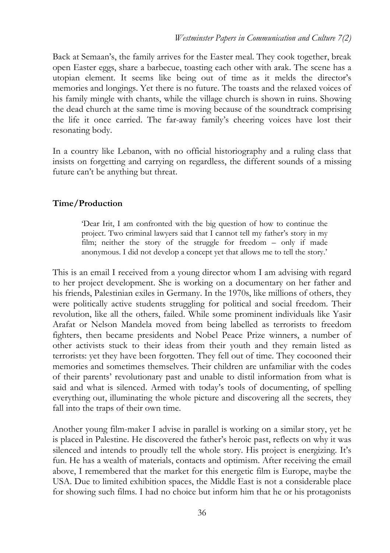Back at Semaan's, the family arrives for the Easter meal. They cook together, break open Easter eggs, share a barbecue, toasting each other with arak. The scene has a utopian element. It seems like being out of time as it melds the director's memories and longings. Yet there is no future. The toasts and the relaxed voices of his family mingle with chants, while the village church is shown in ruins. Showing the dead church at the same time is moving because of the soundtrack comprising the life it once carried. The far-away family's cheering voices have lost their resonating body.

In a country like Lebanon, with no official historiography and a ruling class that insists on forgetting and carrying on regardless, the different sounds of a missing future can't be anything but threat.

## **Time/Production**

'Dear Irit, I am confronted with the big question of how to continue the project. Two criminal lawyers said that I cannot tell my father's story in my film; neither the story of the struggle for freedom – only if made anonymous. I did not develop a concept yet that allows me to tell the story.'

This is an email I received from a young director whom I am advising with regard to her project development. She is working on a documentary on her father and his friends, Palestinian exiles in Germany. In the 1970s, like millions of others, they were politically active students struggling for political and social freedom. Their revolution, like all the others, failed. While some prominent individuals like Yasir Arafat or Nelson Mandela moved from being labelled as terrorists to freedom fighters, then became presidents and Nobel Peace Prize winners, a number of other activists stuck to their ideas from their youth and they remain listed as terrorists: yet they have been forgotten. They fell out of time. They cocooned their memories and sometimes themselves. Their children are unfamiliar with the codes of their parents' revolutionary past and unable to distil information from what is said and what is silenced. Armed with today's tools of documenting, of spelling everything out, illuminating the whole picture and discovering all the secrets, they fall into the traps of their own time.

Another young film-maker I advise in parallel is working on a similar story, yet he is placed in Palestine. He discovered the father's heroic past, reflects on why it was silenced and intends to proudly tell the whole story. His project is energizing. It's fun. He has a wealth of materials, contacts and optimism. After receiving the email above, I remembered that the market for this energetic film is Europe, maybe the USA. Due to limited exhibition spaces, the Middle East is not a considerable place for showing such films. I had no choice but inform him that he or his protagonists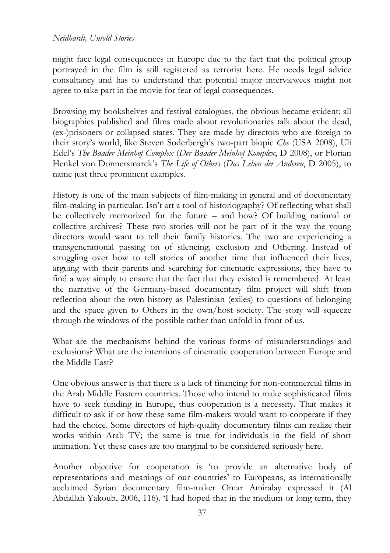might face legal consequences in Europe due to the fact that the political group portrayed in the film is still registered as terrorist here. He needs legal advice consultancy and has to understand that potential major interviewees might not agree to take part in the movie for fear of legal consequences.

Browsing my bookshelves and festival catalogues, the obvious became evident: all biographies published and films made about revolutionaries talk about the dead, (ex-)prisoners or collapsed states. They are made by directors who are foreign to their story's world, like Steven Soderbergh's two-part biopic *Che* (USA 2008), Uli Edel's *The Baader Meinhof Complex* (*Der Baader Meinhof Komplex*, D 2008), or Florian Henkel von Donnersmarck's *The Life of Others* (*Das Leben der Anderen*, D 2005), to name just three prominent examples.

History is one of the main subjects of film-making in general and of documentary film-making in particular. Isn't art a tool of historiography? Of reflecting what shall be collectively memorized for the future – and how? Of building national or collective archives? These two stories will not be part of it the way the young directors would want to tell their family histories. The two are experiencing a transgenerational passing on of silencing, exclusion and Othering. Instead of struggling over how to tell stories of another time that influenced their lives, arguing with their parents and searching for cinematic expressions, they have to find a way simply to ensure that the fact that they existed is remembered. At least the narrative of the Germany-based documentary film project will shift from reflection about the own history as Palestinian (exiles) to questions of belonging and the space given to Others in the own/host society. The story will squeeze through the windows of the possible rather than unfold in front of us.

What are the mechanisms behind the various forms of misunderstandings and exclusions? What are the intentions of cinematic cooperation between Europe and the Middle East?

One obvious answer is that there is a lack of financing for non-commercial films in the Arab Middle Eastern countries. Those who intend to make sophisticated films have to seek funding in Europe, thus cooperation is a necessity. That makes it difficult to ask if or how these same film-makers would want to cooperate if they had the choice. Some directors of high-quality documentary films can realize their works within Arab TV; the same is true for individuals in the field of short animation. Yet these cases are too marginal to be considered seriously here.

Another objective for cooperation is 'to provide an alternative body of representations and meanings of our countries' to Europeans, as internationally acclaimed Syrian documentary film-maker Omar Amiralay expressed it (Al Abdallah Yakoub, 2006, 116). 'I had hoped that in the medium or long term, they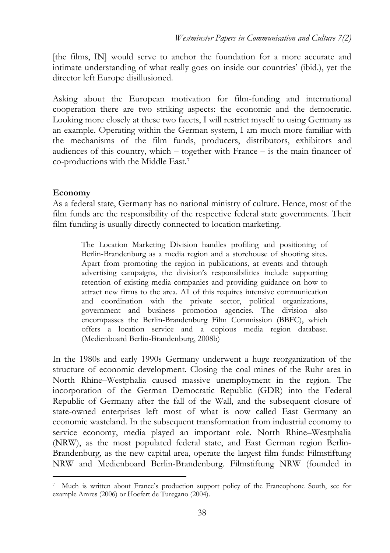[the films, IN] would serve to anchor the foundation for a more accurate and intimate understanding of what really goes on inside our countries' (ibid.), yet the director left Europe disillusioned.

Asking about the European motivation for film-funding and international cooperation there are two striking aspects: the economic and the democratic. Looking more closely at these two facets, I will restrict myself to using Germany as an example. Operating within the German system, I am much more familiar with the mechanisms of the film funds, producers, distributors, exhibitors and audiences of this country, which – together with France – is the main financer of co-productions with the Middle East.<sup>7</sup>

### **Economy**

 $\overline{a}$ 

As a federal state, Germany has no national ministry of culture. Hence, most of the film funds are the responsibility of the respective federal state governments. Their film funding is usually directly connected to location marketing.

The Location Marketing Division handles profiling and positioning of Berlin-Brandenburg as a media region and a storehouse of shooting sites. Apart from promoting the region in publications, at events and through advertising campaigns, the division's responsibilities include supporting retention of existing media companies and providing guidance on how to attract new firms to the area. All of this requires intensive communication and coordination with the private sector, political organizations, government and business promotion agencies. The division also encompasses the Berlin-Brandenburg Film Commission (BBFC), which offers a location service and a copious media region database. (Medienboard Berlin-Brandenburg, 2008b)

In the 1980s and early 1990s Germany underwent a huge reorganization of the structure of economic development. Closing the coal mines of the Ruhr area in North Rhine–Westphalia caused massive unemployment in the region. The incorporation of the German Democratic Republic (GDR) into the Federal Republic of Germany after the fall of the Wall, and the subsequent closure of state-owned enterprises left most of what is now called East Germany an economic wasteland. In the subsequent transformation from industrial economy to service economy, media played an important role. North Rhine–Westphalia (NRW), as the most populated federal state, and East German region Berlin-Brandenburg, as the new capital area, operate the largest film funds: Filmstiftung NRW and Medienboard Berlin-Brandenburg. Filmstiftung NRW (founded in

<sup>7</sup> Much is written about France's production support policy of the Francophone South, see for example Amres (2006) or Hoefert de Turegano (2004).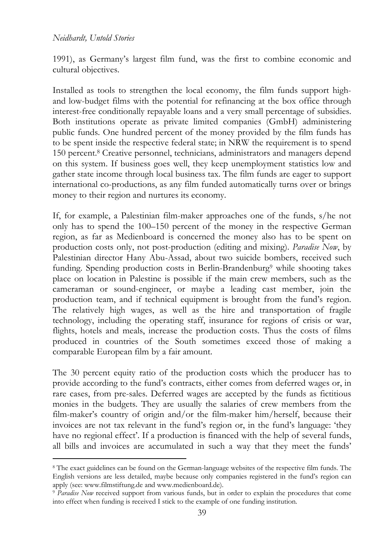### *Neidhardt, Untold Stories*

 $\overline{a}$ 

1991), as Germany's largest film fund, was the first to combine economic and cultural objectives.

Installed as tools to strengthen the local economy, the film funds support highand low-budget films with the potential for refinancing at the box office through interest-free conditionally repayable loans and a very small percentage of subsidies. Both institutions operate as private limited companies (GmbH) administering public funds. One hundred percent of the money provided by the film funds has to be spent inside the respective federal state; in NRW the requirement is to spend 150 percent.<sup>8</sup> Creative personnel, technicians, administrators and managers depend on this system. If business goes well, they keep unemployment statistics low and gather state income through local business tax. The film funds are eager to support international co-productions, as any film funded automatically turns over or brings money to their region and nurtures its economy.

If, for example, a Palestinian film-maker approaches one of the funds, s/he not only has to spend the 100–150 percent of the money in the respective German region, as far as Medienboard is concerned the money also has to be spent on production costs only, not post-production (editing and mixing). *Paradise Now*, by Palestinian director Hany Abu-Assad, about two suicide bombers, received such funding. Spending production costs in Berlin-Brandenburg<sup>9</sup> while shooting takes place on location in Palestine is possible if the main crew members, such as the cameraman or sound-engineer, or maybe a leading cast member, join the production team, and if technical equipment is brought from the fund's region. The relatively high wages, as well as the hire and transportation of fragile technology, including the operating staff, insurance for regions of crisis or war, flights, hotels and meals, increase the production costs. Thus the costs of films produced in countries of the South sometimes exceed those of making a comparable European film by a fair amount.

The 30 percent equity ratio of the production costs which the producer has to provide according to the fund's contracts, either comes from deferred wages or, in rare cases, from pre-sales. Deferred wages are accepted by the funds as fictitious monies in the budgets. They are usually the salaries of crew members from the film-maker's country of origin and/or the film-maker him/herself, because their invoices are not tax relevant in the fund's region or, in the fund's language: 'they have no regional effect'. If a production is financed with the help of several funds, all bills and invoices are accumulated in such a way that they meet the funds'

<sup>8</sup> The exact guidelines can be found on the German-language websites of the respective film funds. The English versions are less detailed, maybe because only companies registered in the fund's region can apply (see: www.filmstiftung.de and www.medienboard.de).

<sup>9</sup> *Paradise Now* received support from various funds, but in order to explain the procedures that come into effect when funding is received I stick to the example of one funding institution.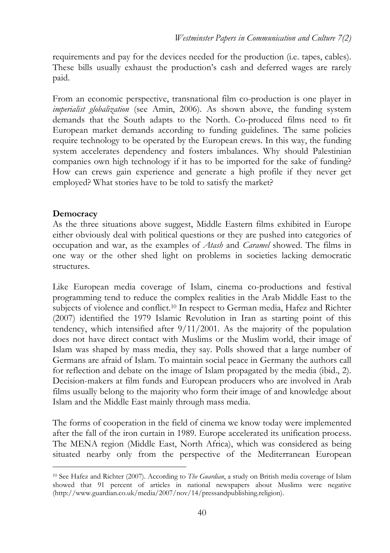requirements and pay for the devices needed for the production (i.e. tapes, cables). These bills usually exhaust the production's cash and deferred wages are rarely paid.

From an economic perspective, transnational film co-production is one player in *imperialist globalization* (see Amin, 2006). As shown above, the funding system demands that the South adapts to the North. Co-produced films need to fit European market demands according to funding guidelines. The same policies require technology to be operated by the European crews. In this way, the funding system accelerates dependency and fosters imbalances. Why should Palestinian companies own high technology if it has to be imported for the sake of funding? How can crews gain experience and generate a high profile if they never get employed? What stories have to be told to satisfy the market?

## **Democracy**

 $\overline{a}$ 

As the three situations above suggest, Middle Eastern films exhibited in Europe either obviously deal with political questions or they are pushed into categories of occupation and war, as the examples of *Atash* and *Caramel* showed. The films in one way or the other shed light on problems in societies lacking democratic structures.

Like European media coverage of Islam, cinema co-productions and festival programming tend to reduce the complex realities in the Arab Middle East to the subjects of violence and conflict.10 In respect to German media, Hafez and Richter (2007) identified the 1979 Islamic Revolution in Iran as starting point of this tendency, which intensified after 9/11/2001. As the majority of the population does not have direct contact with Muslims or the Muslim world, their image of Islam was shaped by mass media, they say. Polls showed that a large number of Germans are afraid of Islam. To maintain social peace in Germany the authors call for reflection and debate on the image of Islam propagated by the media (ibid., 2). Decision-makers at film funds and European producers who are involved in Arab films usually belong to the majority who form their image of and knowledge about Islam and the Middle East mainly through mass media.

The forms of cooperation in the field of cinema we know today were implemented after the fall of the iron curtain in 1989. Europe accelerated its unification process. The MENA region (Middle East, North Africa), which was considered as being situated nearby only from the perspective of the Mediterranean European

<sup>10</sup> See Hafez and Richter (2007). According to *The Guardian*, a study on British media coverage of Islam showed that 91 percent of articles in national newspapers about Muslims were negative (http://www.guardian.co.uk/media/2007/nov/14/pressandpublishing.religion).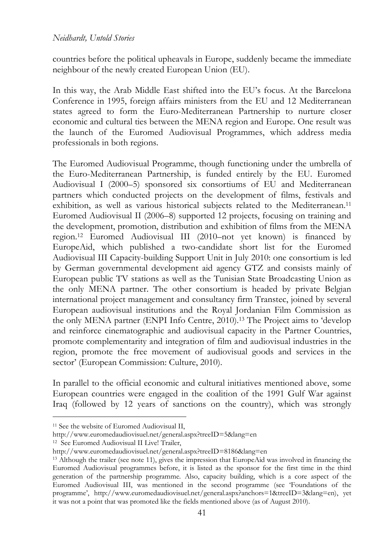countries before the political upheavals in Europe, suddenly became the immediate neighbour of the newly created European Union (EU).

In this way, the Arab Middle East shifted into the EU's focus. At the Barcelona Conference in 1995, foreign affairs ministers from the EU and 12 Mediterranean states agreed to form the Euro-Mediterranean Partnership to nurture closer economic and cultural ties between the MENA region and Europe. One result was the launch of the Euromed Audiovisual Programmes, which address media professionals in both regions.

The Euromed Audiovisual Programme, though functioning under the umbrella of the Euro-Mediterranean Partnership, is funded entirely by the EU. Euromed Audiovisual I (2000–5) sponsored six consortiums of EU and Mediterranean partners which conducted projects on the development of films, festivals and exhibition, as well as various historical subjects related to the Mediterranean.<sup>11</sup> Euromed Audiovisual II (2006–8) supported 12 projects, focusing on training and the development, promotion, distribution and exhibition of films from the MENA region.12 Euromed Audiovisual III (2010–not yet known) is financed by EuropeAid, which published a two-candidate short list for the Euromed Audiovisual III Capacity-building Support Unit in July 2010: one consortium is led by German governmental development aid agency GTZ and consists mainly of European public TV stations as well as the Tunisian State Broadcasting Union as the only MENA partner. The other consortium is headed by private Belgian international project management and consultancy firm Transtec, joined by several European audiovisual institutions and the Royal Jordanian Film Commission as the only MENA partner (ENPI Info Centre, 2010).13 The Project aims to 'develop and reinforce cinematographic and audiovisual capacity in the Partner Countries, promote complementarity and integration of film and audiovisual industries in the region, promote the free movement of audiovisual goods and services in the sector' (European Commission: Culture, 2010).

In parallel to the official economic and cultural initiatives mentioned above, some European countries were engaged in the coalition of the 1991 Gulf War against Iraq (followed by 12 years of sanctions on the country), which was strongly

 $\overline{a}$ 

<sup>&</sup>lt;sup>11</sup> See the website of Euromed Audiovisual II,

http://www.euromedaudiovisuel.net/general.aspx?treeID=5&lang=en

<sup>&</sup>lt;sup>12</sup> See Euromed Audiovisual II Live! Trailer,

http://www.euromedaudiovisuel.net/general.aspx?treeID=8186&lang=en

<sup>13</sup> Although the trailer (see note 11), gives the impression that EuropeAid was involved in financing the Euromed Audiovisual programmes before, it is listed as the sponsor for the first time in the third generation of the partnership programme. Also, capacity building, which is a core aspect of the Euromed Audiovisual III, was mentioned in the second programme (see 'Foundations of the programme', http://www.euromedaudiovisuel.net/general.aspx?anchors=1&treeID=3&lang=en), yet it was not a point that was promoted like the fields mentioned above (as of August 2010).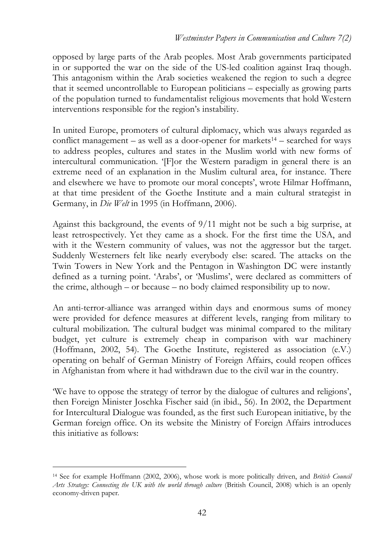opposed by large parts of the Arab peoples. Most Arab governments participated in or supported the war on the side of the US-led coalition against Iraq though. This antagonism within the Arab societies weakened the region to such a degree that it seemed uncontrollable to European politicians – especially as growing parts of the population turned to fundamentalist religious movements that hold Western interventions responsible for the region's instability.

In united Europe, promoters of cultural diplomacy, which was always regarded as conflict management – as well as a door-opener for markets<sup>14</sup> – searched for ways to address peoples, cultures and states in the Muslim world with new forms of intercultural communication. '[F]or the Western paradigm in general there is an extreme need of an explanation in the Muslim cultural area, for instance. There and elsewhere we have to promote our moral concepts', wrote Hilmar Hoffmann, at that time president of the Goethe Institute and a main cultural strategist in Germany, in *Die Welt* in 1995 (in Hoffmann, 2006).

Against this background, the events of 9/11 might not be such a big surprise, at least retrospectively. Yet they came as a shock. For the first time the USA, and with it the Western community of values, was not the aggressor but the target. Suddenly Westerners felt like nearly everybody else: scared. The attacks on the Twin Towers in New York and the Pentagon in Washington DC were instantly defined as a turning point. 'Arabs', or 'Muslims', were declared as committers of the crime, although – or because – no body claimed responsibility up to now.

An anti-terror-alliance was arranged within days and enormous sums of money were provided for defence measures at different levels, ranging from military to cultural mobilization. The cultural budget was minimal compared to the military budget, yet culture is extremely cheap in comparison with war machinery (Hoffmann, 2002, 54). The Goethe Institute, registered as association (e.V.) operating on behalf of German Ministry of Foreign Affairs, could reopen offices in Afghanistan from where it had withdrawn due to the civil war in the country.

'We have to oppose the strategy of terror by the dialogue of cultures and religions', then Foreign Minister Joschka Fischer said (in ibid., 56). In 2002, the Department for Intercultural Dialogue was founded, as the first such European initiative, by the German foreign office. On its website the Ministry of Foreign Affairs introduces this initiative as follows:

 $\overline{a}$ <sup>14</sup> See for example Hoffmann (2002, 2006), whose work is more politically driven, and *British Council Arts Strategy: Connecting the UK with the world through culture* (British Council, 2008) which is an openly economy-driven paper.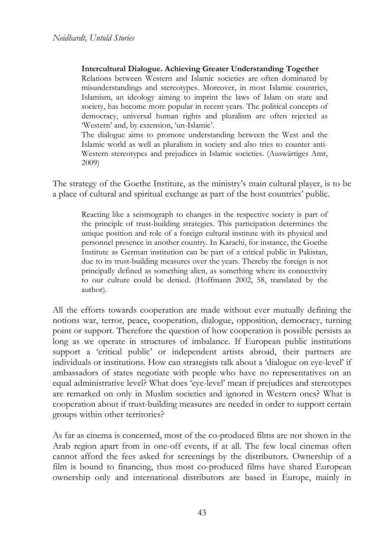**Intercultural Dialogue. Achieving Greater Understanding Together** 

Relations between Western and Islamic societies are often dominated by misunderstandings and stereotypes. Moreover, in most Islamic countries, Islamism, an ideology aiming to imprint the laws of Islam on state and society, has become more popular in recent years. The political concepts of democracy, universal human rights and pluralism are often rejected as 'Western' and, by extension, 'un-Islamic'.

The dialogue aims to promote understanding between the West and the Islamic world as well as pluralism in society and also tries to counter anti-Western stereotypes and prejudices in Islamic societies. (Auswärtiges Amt, 2009)

The strategy of the Goethe Institute, as the ministry's main cultural player, is to be a place of cultural and spiritual exchange as part of the host countries' public.

Reacting like a seismograph to changes in the respective society is part of the principle of trust-building strategies. This participation determines the unique position and role of a foreign cultural institute with its physical and personnel presence in another country. In Karachi, for instance, the Goethe Institute as German institution can be part of a critical public in Pakistan, due to its trust-building measures over the years. Thereby the foreign is not principally defined as something alien, as something where its connectivity to our culture could be denied. (Hoffmann 2002, 58, translated by the author).

All the efforts towards cooperation are made without ever mutually defining the notions war, terror, peace, cooperation, dialogue, opposition, democracy, turning point or support. Therefore the question of how cooperation is possible persists as long as we operate in structures of imbalance. If European public institutions support a 'critical public' or independent artists abroad, their partners are individuals or institutions. How can strategists talk about a 'dialogue on eye-level' if ambassadors of states negotiate with people who have no representatives on an equal administrative level? What does 'eye-level' mean if prejudices and stereotypes are remarked on only in Muslim societies and ignored in Western ones? What is cooperation about if trust-building measures are needed in order to support certain groups within other territories?

As far as cinema is concerned, most of the co-produced films are not shown in the Arab region apart from in one-off events, if at all. The few local cinemas often cannot afford the fees asked for screenings by the distributors. Ownership of a film is bound to financing, thus most co-produced films have shared European ownership only and international distributors are based in Europe, mainly in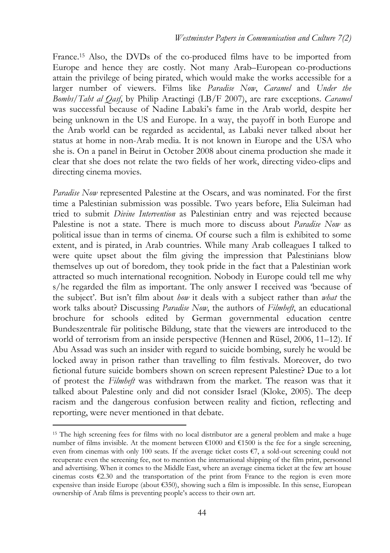France.15 Also, the DVDs of the co-produced films have to be imported from Europe and hence they are costly. Not many Arab–European co-productions attain the privilege of being pirated, which would make the works accessible for a larger number of viewers. Films like *Paradise Now*, *Caramel* and *Under the Bombs/Taht al Qasf*, by Philip Aractingi (LB/F 2007), are rare exceptions. *Caramel* was successful because of Nadine Labaki's fame in the Arab world, despite her being unknown in the US and Europe. In a way, the payoff in both Europe and the Arab world can be regarded as accidental, as Labaki never talked about her status at home in non-Arab media. It is not known in Europe and the USA who she is. On a panel in Beirut in October 2008 about cinema production she made it clear that she does not relate the two fields of her work, directing video-clips and directing cinema movies.

*Paradise Now* represented Palestine at the Oscars, and was nominated. For the first time a Palestinian submission was possible. Two years before, Elia Suleiman had tried to submit *Divine Intervention* as Palestinian entry and was rejected because Palestine is not a state. There is much more to discuss about *Paradise Now* as political issue than in terms of cinema. Of course such a film is exhibited to some extent, and is pirated, in Arab countries. While many Arab colleagues I talked to were quite upset about the film giving the impression that Palestinians blow themselves up out of boredom, they took pride in the fact that a Palestinian work attracted so much international recognition. Nobody in Europe could tell me why s/he regarded the film as important. The only answer I received was 'because of the subject'. But isn't film about *how* it deals with a subject rather than *what* the work talks about? Discussing *Paradise Now*, the authors of *Filmheft*, an educational brochure for schools edited by German governmental education centre Bundeszentrale für politische Bildung, state that the viewers are introduced to the world of terrorism from an inside perspective (Hennen and Rüsel, 2006, 11–12). If Abu Assad was such an insider with regard to suicide bombing, surely he would be locked away in prison rather than travelling to film festivals. Moreover, do two fictional future suicide bombers shown on screen represent Palestine? Due to a lot of protest the *Filmheft* was withdrawn from the market. The reason was that it talked about Palestine only and did not consider Israel (Kloke, 2005). The deep racism and the dangerous confusion between reality and fiction, reflecting and reporting, were never mentioned in that debate.

 $\overline{a}$ 

<sup>&</sup>lt;sup>15</sup> The high screening fees for films with no local distributor are a general problem and make a huge number of films invisible. At the moment between €1000 and €1500 is the fee for a single screening, even from cinemas with only 100 seats. If the average ticket costs €7, a sold-out screening could not recuperate even the screening fee, not to mention the international shipping of the film print, personnel and advertising. When it comes to the Middle East, where an average cinema ticket at the few art house cinemas costs  $\epsilon$ 2.30 and the transportation of the print from France to the region is even more expensive than inside Europe (about  $\epsilon$ 350), showing such a film is impossible. In this sense, European ownership of Arab films is preventing people's access to their own art.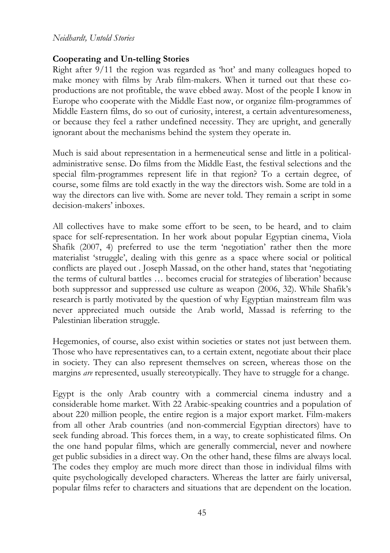#### *Neidhardt, Untold Stories*

### **Cooperating and Un-telling Stories**

Right after 9/11 the region was regarded as 'hot' and many colleagues hoped to make money with films by Arab film-makers. When it turned out that these coproductions are not profitable, the wave ebbed away. Most of the people I know in Europe who cooperate with the Middle East now, or organize film-programmes of Middle Eastern films, do so out of curiosity, interest, a certain adventuresomeness, or because they feel a rather undefined necessity. They are upright, and generally ignorant about the mechanisms behind the system they operate in.

Much is said about representation in a hermeneutical sense and little in a politicaladministrative sense. Do films from the Middle East, the festival selections and the special film-programmes represent life in that region? To a certain degree, of course, some films are told exactly in the way the directors wish. Some are told in a way the directors can live with. Some are never told. They remain a script in some decision-makers' inboxes.

All collectives have to make some effort to be seen, to be heard, and to claim space for self-representation. In her work about popular Egyptian cinema, Viola Shafik (2007, 4) preferred to use the term 'negotiation' rather then the more materialist 'struggle', dealing with this genre as a space where social or political conflicts are played out . Joseph Massad, on the other hand, states that 'negotiating the terms of cultural battles … becomes crucial for strategies of liberation' because both suppressor and suppressed use culture as weapon (2006, 32). While Shafik's research is partly motivated by the question of why Egyptian mainstream film was never appreciated much outside the Arab world, Massad is referring to the Palestinian liberation struggle.

Hegemonies, of course, also exist within societies or states not just between them. Those who have representatives can, to a certain extent, negotiate about their place in society. They can also represent themselves on screen, whereas those on the margins *are* represented, usually stereotypically. They have to struggle for a change.

Egypt is the only Arab country with a commercial cinema industry and a considerable home market. With 22 Arabic-speaking countries and a population of about 220 million people, the entire region is a major export market. Film-makers from all other Arab countries (and non-commercial Egyptian directors) have to seek funding abroad. This forces them, in a way, to create sophisticated films. On the one hand popular films, which are generally commercial, never and nowhere get public subsidies in a direct way. On the other hand, these films are always local. The codes they employ are much more direct than those in individual films with quite psychologically developed characters. Whereas the latter are fairly universal, popular films refer to characters and situations that are dependent on the location.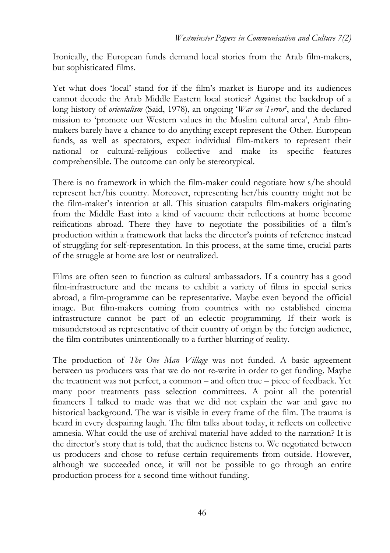Ironically, the European funds demand local stories from the Arab film-makers, but sophisticated films.

Yet what does 'local' stand for if the film's market is Europe and its audiences cannot decode the Arab Middle Eastern local stories? Against the backdrop of a long history of *orientalism* (Said, 1978), an ongoing '*War on Terror*', and the declared mission to 'promote our Western values in the Muslim cultural area', Arab filmmakers barely have a chance to do anything except represent the Other. European funds, as well as spectators, expect individual film-makers to represent their national or cultural-religious collective and make its specific features comprehensible. The outcome can only be stereotypical.

There is no framework in which the film-maker could negotiate how s/he should represent her/his country. Moreover, representing her/his country might not be the film-maker's intention at all. This situation catapults film-makers originating from the Middle East into a kind of vacuum: their reflections at home become reifications abroad. There they have to negotiate the possibilities of a film's production within a framework that lacks the director's points of reference instead of struggling for self-representation. In this process, at the same time, crucial parts of the struggle at home are lost or neutralized.

Films are often seen to function as cultural ambassadors. If a country has a good film-infrastructure and the means to exhibit a variety of films in special series abroad, a film-programme can be representative. Maybe even beyond the official image. But film-makers coming from countries with no established cinema infrastructure cannot be part of an eclectic programming. If their work is misunderstood as representative of their country of origin by the foreign audience, the film contributes unintentionally to a further blurring of reality.

The production of *The One Man Village* was not funded. A basic agreement between us producers was that we do not re-write in order to get funding. Maybe the treatment was not perfect, a common – and often true – piece of feedback. Yet many poor treatments pass selection committees. A point all the potential financers I talked to made was that we did not explain the war and gave no historical background. The war is visible in every frame of the film. The trauma is heard in every despairing laugh. The film talks about today, it reflects on collective amnesia. What could the use of archival material have added to the narration? It is the director's story that is told, that the audience listens to. We negotiated between us producers and chose to refuse certain requirements from outside. However, although we succeeded once, it will not be possible to go through an entire production process for a second time without funding.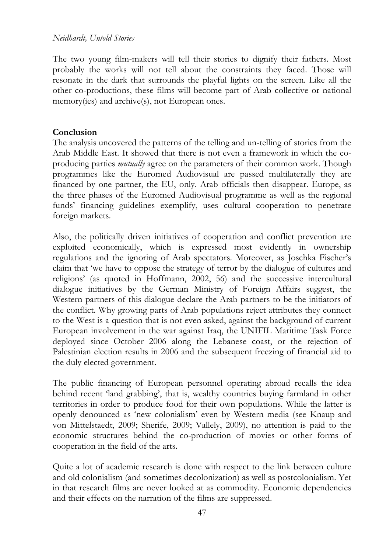### *Neidhardt, Untold Stories*

The two young film-makers will tell their stories to dignify their fathers. Most probably the works will not tell about the constraints they faced. Those will resonate in the dark that surrounds the playful lights on the screen. Like all the other co-productions, these films will become part of Arab collective or national memory(ies) and archive(s), not European ones.

### **Conclusion**

The analysis uncovered the patterns of the telling and un-telling of stories from the Arab Middle East. It showed that there is not even a framework in which the coproducing parties *mutually* agree on the parameters of their common work. Though programmes like the Euromed Audiovisual are passed multilaterally they are financed by one partner, the EU, only. Arab officials then disappear. Europe, as the three phases of the Euromed Audiovisual programme as well as the regional funds' financing guidelines exemplify, uses cultural cooperation to penetrate foreign markets.

Also, the politically driven initiatives of cooperation and conflict prevention are exploited economically, which is expressed most evidently in ownership regulations and the ignoring of Arab spectators. Moreover, as Joschka Fischer's claim that 'we have to oppose the strategy of terror by the dialogue of cultures and religions' (as quoted in Hoffmann, 2002, 56) and the successive intercultural dialogue initiatives by the German Ministry of Foreign Affairs suggest, the Western partners of this dialogue declare the Arab partners to be the initiators of the conflict. Why growing parts of Arab populations reject attributes they connect to the West is a question that is not even asked, against the background of current European involvement in the war against Iraq, the UNIFIL Maritime Task Force deployed since October 2006 along the Lebanese coast, or the rejection of Palestinian election results in 2006 and the subsequent freezing of financial aid to the duly elected government.

The public financing of European personnel operating abroad recalls the idea behind recent 'land grabbing', that is, wealthy countries buying farmland in other territories in order to produce food for their own populations. While the latter is openly denounced as 'new colonialism' even by Western media (see Knaup and von Mittelstaedt, 2009; Sherife, 2009; Vallely, 2009), no attention is paid to the economic structures behind the co-production of movies or other forms of cooperation in the field of the arts.

Quite a lot of academic research is done with respect to the link between culture and old colonialism (and sometimes decolonization) as well as postcolonialism. Yet in that research films are never looked at as commodity. Economic dependencies and their effects on the narration of the films are suppressed.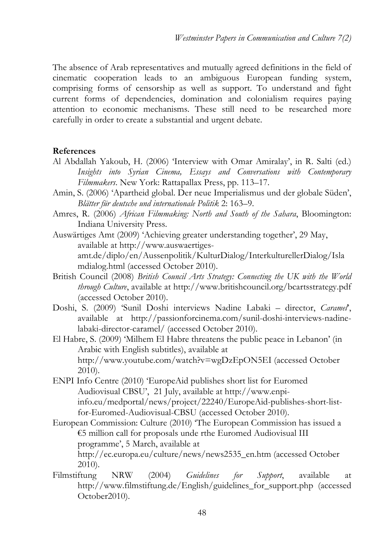The absence of Arab representatives and mutually agreed definitions in the field of cinematic cooperation leads to an ambiguous European funding system, comprising forms of censorship as well as support. To understand and fight current forms of dependencies, domination and colonialism requires paying attention to economic mechanisms. These still need to be researched more carefully in order to create a substantial and urgent debate.

### **References**

- Al Abdallah Yakoub, H. (2006) 'Interview with Omar Amiralay', in R. Salti (ed.) *Insights into Syrian Cinema, Essays and Conversations with Contemporary Filmmakers*. New York: Rattapallax Press, pp. 113–17.
- Amin, S. (2006) 'Apartheid global. Der neue Imperialismus und der globale Süden', *Blätter für deutsche und internationale Politik* 2: 163–9.
- Amres, R. (2006) *African Filmmaking: North and South of the Sahara*, Bloomington: Indiana University Press.
- Auswärtiges Amt (2009) 'Achieving greater understanding together', 29 May, available at http://www.auswaertigesamt.de/diplo/en/Aussenpolitik/KulturDialog/InterkulturellerDialog/Isla mdialog.html (accessed October 2010).
- British Council (2008) *British Council Arts Strategy: Connecting the UK with the World through Culture*, available at http://www.britishcouncil.org/bcartsstrategy.pdf (accessed October 2010).
- Doshi, S. (2009) 'Sunil Doshi interviews Nadine Labaki director, *Caramel*', available at http://passionforcinema.com/sunil-doshi-interviews-nadinelabaki-director-caramel/ (accessed October 2010).
- El Habre, S. (2009) 'Milhem El Habre threatens the public peace in Lebanon' (in Arabic with English subtitles), available at http://www.youtube.com/watch?v=wgDzEpON5EI (accessed October 2010).
- ENPI Info Centre (2010) 'EuropeAid publishes short list for Euromed Audiovisual CBSU', 21 July, available at http://www.enpiinfo.eu/medportal/news/project/22240/EuropeAid-publishes-short-listfor-Euromed-Audiovisual-CBSU (accessed October 2010).
- European Commission: Culture (2010) 'The European Commission has issued a €5 million call for proposals unde rthe Euromed Audiovisual III programme', 5 March, available at http://ec.europa.eu/culture/news/news2535\_en.htm (accessed October 2010).
- Filmstiftung NRW (2004) *Guidelines for Support*, available at http://www.filmstiftung.de/English/guidelines\_for\_support.php (accessed October2010).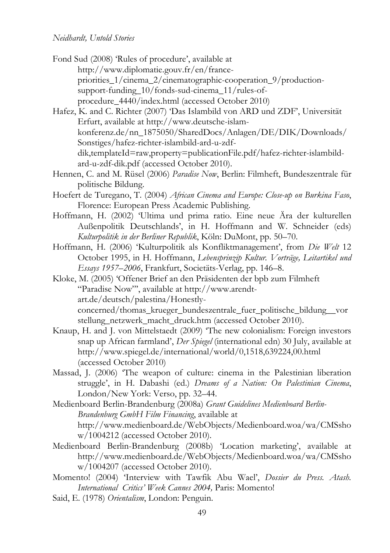- Fond Sud (2008) 'Rules of procedure', available at http://www.diplomatie.gouv.fr/en/francepriorities\_1/cinema\_2/cinematographic-cooperation\_9/productionsupport-funding  $10$ /fonds-sud-cinema  $11$ /rules-ofprocedure\_4440/index.html (accessed October 2010)
- Hafez, K. and C. Richter (2007) 'Das Islambild von ARD und ZDF', Universität Erfurt, available at http://www.deutsche-islamkonferenz.de/nn\_1875050/SharedDocs/Anlagen/DE/DIK/Downloads/ Sonstiges/hafez-richter-islambild-ard-u-zdfdik,templateId=raw,property=publicationFile.pdf/hafez-richter-islambildard-u-zdf-dik.pdf (accessed October 2010).
- Hennen, C. and M. Rüsel (2006) *Paradise Now*, Berlin: Filmheft, Bundeszentrale für politische Bildung.
- Hoefert de Turegano, T. (2004) *African Cinema and Europe: Close-up on Burkina Faso*, Florence: European Press Academic Publishing.
- Hoffmann, H. (2002) 'Ultima und prima ratio. Eine neue Ära der kulturellen Außenpolitik Deutschlands', in H. Hoffmann and W. Schneider (eds) *Kulturpolitik in der Berliner Republik*, Köln: DuMont, pp. 50–70.
- Hoffmann, H. (2006) 'Kulturpolitik als Konfliktmanagement', from *Die Welt* 12 October 1995, in H. Hoffmann, *Lebensprinzip Kultur. Vorträge, Leitartikel und Essays 1957–2006*, Frankfurt, Societäts-Verlag, pp. 146–8.
- Kloke, M. (2005) 'Offener Brief an den Präsidenten der bpb zum Filmheft "Paradise Now"', available at http://www.arendtart.de/deutsch/palestina/Honestlyconcerned/thomas\_krueger\_bundeszentrale\_fuer\_politische\_bildung\_\_vor stellung netzwerk macht druck.htm (accessed October 2010).
- Knaup, H. and J. von Mittelstaedt (2009) 'The new colonialism: Foreign investors snap up African farmland', *Der Spiegel* (international edn) 30 July, available at http://www.spiegel.de/international/world/0,1518,639224,00.html (accessed October 2010)
- Massad, J. (2006) 'The weapon of culture: cinema in the Palestinian liberation struggle', in H. Dabashi (ed.) *Dreams of a Nation: On Palestinian Cinema*, London/New York: Verso, pp. 32–44.
- Medienboard Berlin-Brandenburg (2008a) *Grant Guidelines Medienboard Berlin-Brandenburg GmbH Film Financing*, available at http://www.medienboard.de/WebObjects/Medienboard.woa/wa/CMSsho w/1004212 (accessed October 2010).
- Medienboard Berlin-Brandenburg (2008b) 'Location marketing', available at http://www.medienboard.de/WebObjects/Medienboard.woa/wa/CMSsho w/1004207 (accessed October 2010).
- Momento! (2004) 'Interview with Tawfik Abu Wael', *Dossier du Press. Atash. International Critics' Week Cannes 2004,* Paris: Momento!
- Said, E. (1978) *Orientalism*, London: Penguin.